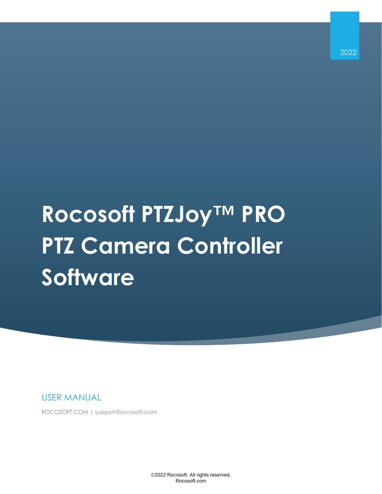2022

# **Rocosoft PTZJoy™ PRO PTZ Camera Controller Software**

USER MANUAL

ROCOSOFT.COM | support@rocosoft.com

©2022 Rocosoft. All rights reserved. Rocosoft.com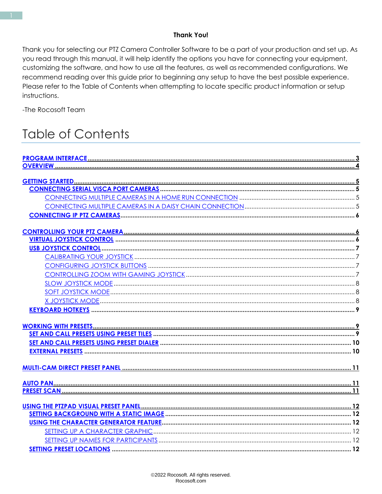#### **Thank You!**

Thank you for selecting our PTZ Camera Controller Software to be a part of your production and set up. As you read through this manual, it will help identify the options you have for connecting your equipment, customizing the software, and how to use all the features, as well as recommended configurations. We recommend reading over this guide prior to beginning any setup to have the best possible experience. Please refer to the Table of Contents when attempting to locate specific product information or setup instructions.

-The Rocosoft Team

### **Table of Contents**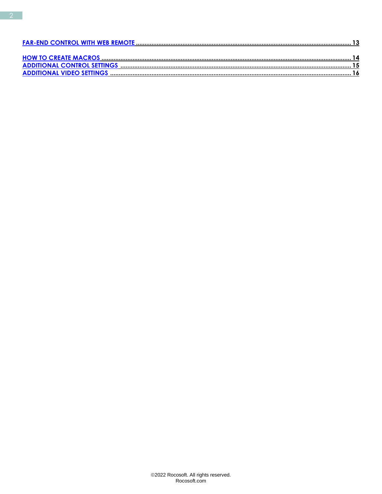<span id="page-2-0"></span>

| 14 |
|----|
|    |
|    |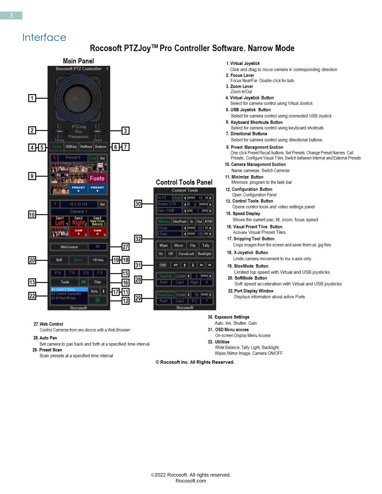### Interface

#### Rocosoft PTZJoy™ Pro Controller Software. Narrow Mode



#### 27. Web Control

Control Cameras from any device with a Web Browser

#### 28. Auto Pan

Set camera to pan back and forth at a specified time interval 29. Preset Scan

Scan presets at a specified time interval

#### 1. Virtual Joystick

- Click and drag to move camera in corresponding direction
- 2. Focus Lever Focus Near/Far. Double click for Auto
- 3. Zoom Lever
- Zoom In/Out
- 4. Virtual Joystick Button
	- Select for camera control using Virtual Joystick
- 5. USB Joystick Button Select for camera control using connected USB Joystick
- 6. Keyboard Shortcuts Button
- Select for camera control using keyboard shortcuts 7. Directional Buttons
	- Select for camera control using directional buttons
- 9. Preset Management Section One click Preset Recall buttons, Set Presets, Change Preset Names, Call Presets, Configure Visual Tiles, Switch between Internal and External Presets
- 10. Camera Management Section Name cameras. Switch Cameras
- 11. Minimize Button Minimize program to the task bar
- 12. Configuration Button
- Open Configuration Panel
- 13. Control Tools Button Opens control tools and video settings panel
- 15. Speed Display
- Shows the current pan, tilt, zoom, focus speed 16. Visual Preset Tiles Button
	- **Activate Visual Preset Tiles.**
- 17. Snipping Tool Button Crops images from the screen and saves them as .jpg files
- 18. X-Jovstick Button
	- Limits camera movement to the x-axis only
- 19. SlowMode Button Limited top speed with Virtual and USB joysticks
- 20. SoftMode Button Soft speed acceleration with Virtual and USB joysticks
- 22. Port Display Window Displays information about active Ports

#### 30. Exposure Settings

- Auto, Iris, Shutter, Gain
- 31. OSD Menu access On-screen Display Menu Access
- 32. Utilities
	- White Balance, Tally Light, Backlight, Wiper, Mirror Image, Camera ON/OFF

© Rocosoft Inc. All Rights Reserved.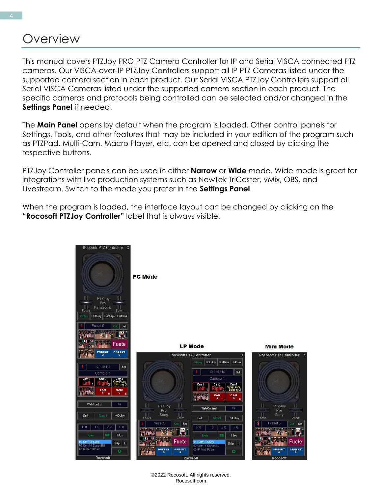### **Overview**

This manual covers PTZJoy PRO PTZ Camera Controller for IP and Serial VISCA connected PTZ cameras. Our VISCA-over-IP PTZJoy Controllers support all IP PTZ Cameras listed under the supported camera section in each product. Our Serial VISCA PTZJoy Controllers support all Serial VISCA Cameras listed under the supported camera section in each product. The specific cameras and protocols being controlled can be selected and/or changed in the **Settings Panel** if needed.

The **Main Panel** opens by default when the program is loaded. Other control panels for Settings, Tools, and other features that may be included in your edition of the program such as PTZPad, Multi-Cam, Macro Player, etc. can be opened and closed by clicking the respective buttons.

PTZJoy Controller panels can be used in either **Narrow** or **Wide** mode. Wide mode is great for integrations with live production systems such as NewTek TriCaster, vMix, OBS, and Livestream. Switch to the mode you prefer in the **Settings Panel**.

When the program is loaded, the interface layout can be changed by clicking on the **"Rocosoft PTZJoy Controller"** label that is always visible.

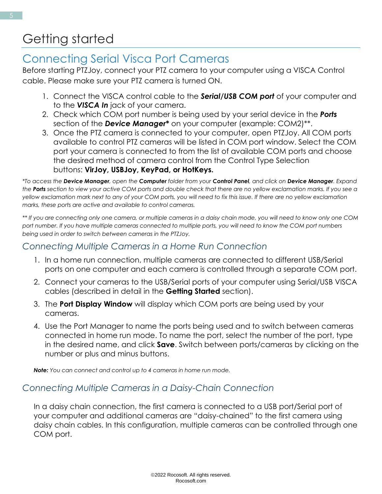### <span id="page-5-0"></span>Getting started

### <span id="page-5-1"></span>Connecting Serial Visca Port Cameras

Before starting PTZJoy, connect your PTZ camera to your computer using a VISCA Control cable. Please make sure your PTZ camera is turned ON.

- 1. Connect the VISCA control cable to the *Serial/USB COM port* of your computer and to the *VISCA In* jack of your camera.
- 2. Check which COM port number is being used by your serial device in the *Ports* section of the *Device Manager***\*** on your computer (example: COM2)\*\*.
- 3. Once the PTZ camera is connected to your computer, open PTZJoy. All COM ports available to control PTZ cameras will be listed in COM port window. Select the COM port your camera is connected to from the list of available COM ports and choose the desired method of camera control from the Control Type Selection buttons: **VirJoy, USBJoy, KeyPad, or HotKeys.**

*\*To access the Device Manager, open the Computer folder from your Control Panel, and click on Device Manager. Expand the Ports section to view your active COM ports and double check that there are no yellow exclamation marks. If you see a yellow exclamation mark next to any of your COM ports, you will need to fix this issue. If there are no yellow exclamation marks, these ports are active and available to control cameras.* 

*\*\* If you are connecting only one camera, or multiple cameras in a daisy chain mode, you will need to know only one COM port number. If you have multiple cameras connected to multiple ports, you will need to know the COM port numbers being used in order to switch between cameras in the PTZJoy.*

#### <span id="page-5-2"></span>*Connecting Multiple Cameras in a Home Run Connection*

- 1. In a home run connection, multiple cameras are connected to different USB/Serial ports on one computer and each camera is controlled through a separate COM port.
- 2. Connect your cameras to the USB/Serial ports of your computer using Serial/USB VISCA cables (described in detail in the **Getting Started** section).
- 3. The **Port Display Window** will display which COM ports are being used by your cameras.
- 4. Use the Port Manager to name the ports being used and to switch between cameras connected in home run mode. To name the port, select the number of the port, type in the desired name, and click **Save**. Switch between ports/cameras by clicking on the number or plus and minus buttons.

*Note: You can connect and control up to 4 cameras in home run mode.*

#### <span id="page-5-3"></span>*Connecting Multiple Cameras in a Daisy-Chain Connection*

In a daisy chain connection, the first camera is connected to a USB port/Serial port of your computer and additional cameras are "daisy-chained" to the first camera using daisy chain cables. In this configuration, multiple cameras can be controlled through one COM port.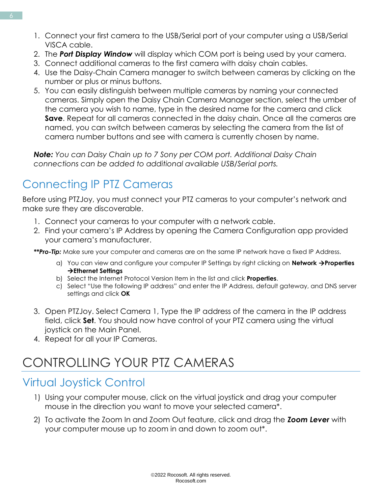- 1. Connect your first camera to the USB/Serial port of your computer using a USB/Serial VISCA cable.
- 2. The *Port Display Window* will display which COM port is being used by your camera.
- 3. Connect additional cameras to the first camera with daisy chain cables.
- 4. Use the Daisy-Chain Camera manager to switch between cameras by clicking on the number or plus or minus buttons.
- 5. You can easily distinguish between multiple cameras by naming your connected cameras. Simply open the Daisy Chain Camera Manager section, select the umber of the camera you wish to name, type in the desired name for the camera and click **Save**. Repeat for all cameras connected in the daisy chain. Once all the cameras are named, you can switch between cameras by selecting the camera from the list of camera number buttons and see with camera is currently chosen by name.

*Note: You can Daisy Chain up to 7 Sony per COM port. Additional Daisy Chain connections can be added to additional available USB/Serial ports.*

### <span id="page-6-0"></span>Connecting IP PTZ Cameras

Before using PTZJoy, you must connect your PTZ cameras to your computer's network and make sure they are discoverable.

- 1. Connect your cameras to your computer with a network cable.
- 2. Find your camera's IP Address by opening the Camera Configuration app provided your camera's manufacturer.

*\*\*Pro-Tip:* Make sure your computer and cameras are on the same IP network have a fixed IP Address.

- a) You can view and configure your computer IP Settings by right clicking on **Network** →**Properties**  →**Ethernet Settings**
- b) Select the Internet Protocol Version Item in the list and click **Properties**.
- c) Select "Use the following IP address" and enter the IP Address, default gateway, and DNS server settings and click **OK**
- 3. Open PTZJoy. Select Camera 1, Type the IP address of the camera in the IP address field, click **Set**. You should now have control of your PTZ camera using the virtual joystick on the Main Panel.
- 4. Repeat for all your IP Cameras.

### CONTROLLING YOUR PTZ CAMERAS

### <span id="page-6-1"></span>Virtual Joystick Control

- 1) Using your computer mouse, click on the virtual joystick and drag your computer mouse in the direction you want to move your selected camera\*.
- 2) To activate the Zoom In and Zoom Out feature, click and drag the *Zoom Lever* with your computer mouse up to zoom in and down to zoom out\*.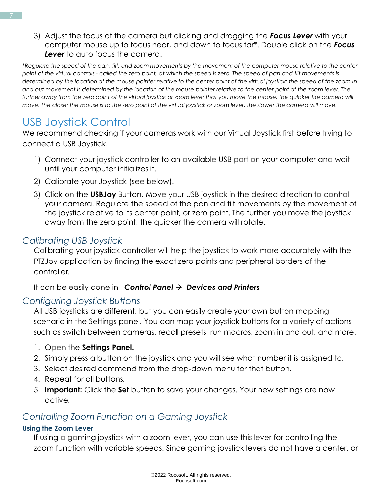3) Adjust the focus of the camera but clicking and dragging the *Focus Lever* with your computer mouse up to focus near, and down to focus far\*. Double click on the *Focus Lever* to auto focus the camera.

*\*Regulate the speed of the pan, tilt, and zoom movements by the movement of the computer mouse relative to the center point of the virtual controls - called the zero point, at which the speed is zero. The speed of pan and tilt movements is determined by the location of the mouse pointer relative to the center point of the virtual joystick; the speed of the zoom in and out movement is determined by the location of the mouse pointer relative to the center point of the zoom lever. The further away from the zero point of the virtual joystick or zoom lever that you move the mouse, the quicker the camera will move. The closer the mouse is to the zero point of the virtual joystick or zoom lever, the slower the camera will move.*

### <span id="page-7-0"></span>USB Joystick Control

We recommend checking if your cameras work with our Virtual Joystick first before trying to connect a USB Joystick.

- 1) Connect your joystick controller to an available USB port on your computer and wait until your computer initializes it.
- 2) Calibrate your Joystick (see below).
- 3) Click on the **USBJoy** Button. Move your USB joystick in the desired direction to control your camera. Regulate the speed of the pan and tilt movements by the movement of the joystick relative to its center point, or zero point. The further you move the joystick away from the zero point, the quicker the camera will rotate.

#### <span id="page-7-1"></span>*Calibrating USB Joystick*

Calibrating your joystick controller will help the joystick to work more accurately with the PTZJoy application by finding the exact zero points and peripheral borders of the controller.

It can be easily done in *Control Panel* → *Devices and Printers*

#### <span id="page-7-2"></span>*Configuring Joystick Buttons*

All USB joysticks are different, but you can easily create your own button mapping scenario in the Settings panel. You can map your joystick buttons for a variety of actions such as switch between cameras, recall presets, run macros, zoom in and out, and more.

- 1. Open the **Settings Panel.**
- 2. Simply press a button on the joystick and you will see what number it is assigned to.
- 3. Select desired command from the drop-down menu for that button.
- 4. Repeat for all buttons.
- 5. **Important:** Click the **Set** button to save your changes. Your new settings are now active.

#### <span id="page-7-3"></span>*Controlling Zoom Function on a Gaming Joystick*

#### **Using the Zoom Lever**

If using a gaming joystick with a zoom lever, you can use this lever for controlling the zoom function with variable speeds. Since gaming joystick levers do not have a center, or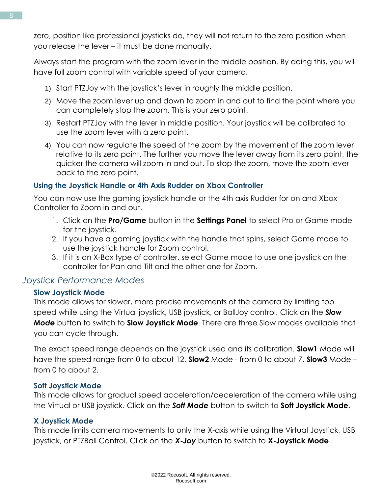zero, position like professional joysticks do, they will not return to the zero position when you release the lever – it must be done manually.

Always start the program with the zoom lever in the middle position. By doing this, you will have full zoom control with variable speed of your camera.

- 1) Start PTZJoy with the joystick's lever in roughly the middle position.
- 2) Move the zoom lever up and down to zoom in and out to find the point where you can completely stop the zoom. This is your zero point.
- 3) Restart PTZJoy with the lever in middle position. Your joystick will be calibrated to use the zoom lever with a zero point.
- 4) You can now regulate the speed of the zoom by the movement of the zoom lever relative to its zero point. The further you move the lever away from its zero point, the quicker the camera will zoom in and out. To stop the zoom, move the zoom lever back to the zero point.

#### **Using the Joystick Handle or 4th Axis Rudder on Xbox Controller**

You can now use the gaming joystick handle or the 4th axis Rudder for on and Xbox Controller to Zoom in and out.

- 1. Click on the **Pro/Game** button in the **Settings Panel** to select Pro or Game mode for the joystick.
- 2. If you have a gaming joystick with the handle that spins, select Game mode to use the joystick handle for Zoom control.
- 3. If it is an X-Box type of controller, select Game mode to use one joystick on the controller for Pan and Tilt and the other one for Zoom.

#### <span id="page-8-0"></span>*Joystick Performance Modes*

#### **Slow Joystick Mode**

This mode allows for slower, more precise movements of the camera by limiting top speed while using the Virtual joystick, USB joystick, or BallJoy control. Click on the *Slow Mode* button to switch to **Slow Joystick Mode**. There are three Slow modes available that you can cycle through.

The exact speed range depends on the joystick used and its calibration. **Slow1** Mode will have the speed range from 0 to about 12. **Slow2** Mode - from 0 to about 7. **Slow3** Mode – from 0 to about 2.

#### <span id="page-8-1"></span>**Soft Joystick Mode**

This mode allows for gradual speed acceleration/deceleration of the camera while using the Virtual or USB joystick. Click on the *Soft Mode* button to switch to **Soft Joystick Mode**.

#### <span id="page-8-2"></span>**X Joystick Mode**

This mode limits camera movements to only the X-axis while using the Virtual Joystick, USB joystick, or PTZBall Control. Click on the *X-Joy* button to switch to **X-Joystick Mode**.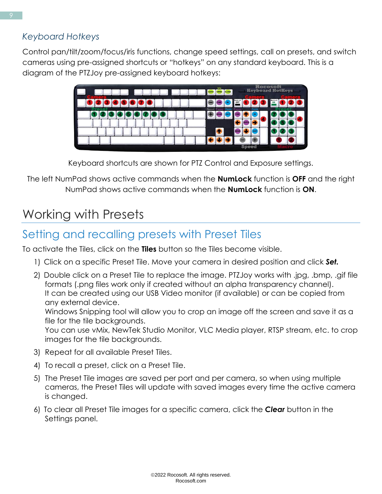<span id="page-9-0"></span>Control pan/tilt/zoom/focus/iris functions, change speed settings, call on presets, and switch cameras using pre-assigned shortcuts or "hotkeys" on any standard keyboard. This is a diagram of the PTZJoy pre-assigned keyboard hotkeys:



Keyboard shortcuts are shown for PTZ Control and Exposure settings.

The left NumPad shows active commands when the **NumLock** function is **OFF** and the right NumPad shows active commands when the **NumLock** function is **ON**.

### <span id="page-9-1"></span>Working with Presets

### <span id="page-9-2"></span>Setting and recalling presets with Preset Tiles

To activate the Tiles, click on the **Tiles** button so the Tiles become visible.

- 1) Click on a specific Preset Tile. Move your camera in desired position and click *Set.*
- 2) Double click on a Preset Tile to replace the image. PTZJoy works with .jpg, .bmp, .gif file formats (.png files work only if created without an alpha transparency channel). It can be created using our USB Video monitor (if available) or can be copied from any external device.

Windows Snipping tool will allow you to crop an image off the screen and save it as a file for the tile backgrounds.

You can use vMix, NewTek Studio Monitor, VLC Media player, RTSP stream, etc. to crop images for the tile backgrounds.

- 3) Repeat for all available Preset Tiles.
- 4) To recall a preset, click on a Preset Tile.
- 5) The Preset Tile images are saved per port and per camera, so when using multiple cameras, the Preset Tiles will update with saved images every time the active camera is changed.
- 6) To clear all Preset Tile images for a specific camera, click the *Clear* button in the Settings panel.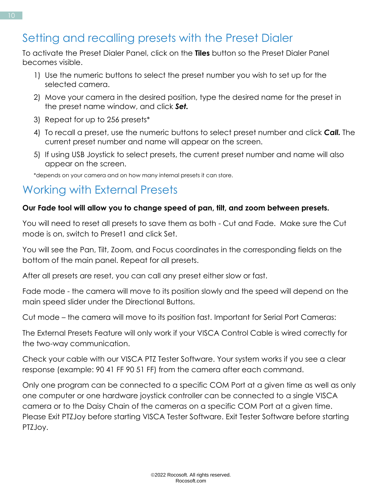### <span id="page-10-0"></span>Setting and recalling presets with the Preset Dialer

To activate the Preset Dialer Panel, click on the **Tiles** button so the Preset Dialer Panel becomes visible.

- 1) Use the numeric buttons to select the preset number you wish to set up for the selected camera.
- 2) Move your camera in the desired position, type the desired name for the preset in the preset name window, and click *Set.*
- 3) Repeat for up to 256 presets\*
- 4) To recall a preset, use the numeric buttons to select preset number and click *Call.* The current preset number and name will appear on the screen.
- 5) If using USB Joystick to select presets, the current preset number and name will also appear on the screen.

\*depends on your camera and on how many internal presets it can store.

### <span id="page-10-1"></span>Working with External Presets

#### **Our Fade tool will allow you to change speed of pan, tilt, and zoom between presets.**

You will need to reset all presets to save them as both - Cut and Fade. Make sure the Cut mode is on, switch to Preset1 and click Set.

You will see the Pan, Tilt, Zoom, and Focus coordinates in the corresponding fields on the bottom of the main panel. Repeat for all presets.

After all presets are reset, you can call any preset either slow or fast.

Fade mode - the camera will move to its position slowly and the speed will depend on the main speed slider under the Directional Buttons.

Cut mode – the camera will move to its position fast. Important for Serial Port Cameras:

The External Presets Feature will only work if your VISCA Control Cable is wired correctly for the two-way communication.

Check your cable with our VISCA PTZ Tester Software. Your system works if you see a clear response (example: 90 41 FF 90 51 FF) from the camera after each command.

Only one program can be connected to a specific COM Port at a given time as well as only one computer or one hardware joystick controller can be connected to a single VISCA camera or to the Daisy Chain of the cameras on a specific COM Port at a given time. Please Exit PTZJoy before starting VISCA Tester Software. Exit Tester Software before starting PTZJoy.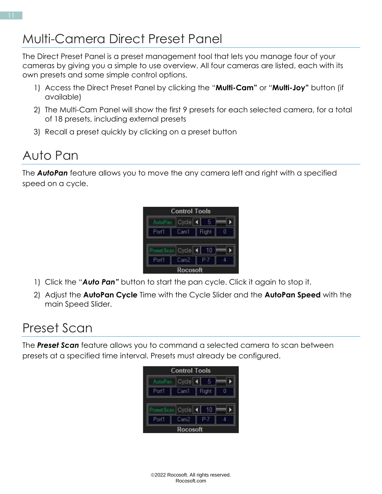### <span id="page-11-0"></span>Multi-Camera Direct Preset Panel

The Direct Preset Panel is a preset management tool that lets you manage four of your cameras by giving you a simple to use overview. All four cameras are listed, each with its own presets and some simple control options.

- 1) Access the Direct Preset Panel by clicking the "**Multi-Cam"** or "**Multi-Joy"** button (if available)
- 2) The Multi-Cam Panel will show the first 9 presets for each selected camera, for a total of 18 presets, including external presets
- 3) Recall a preset quickly by clicking on a preset button

### Auto Pan

The *AutoPan* feature allows you to move the any camera left and right with a specified speed on a cycle.



- 1) Click the "*Auto Pan"* button to start the pan cycle. Click it again to stop it.
- 2) Adjust the **AutoPan Cycle** Time with the Cycle Slider and the **AutoPan Speed** with the main Speed Slider.

### <span id="page-11-1"></span>Preset Scan

The *Preset Scan* feature allows you to command a selected camera to scan between presets at a specified time interval. Presets must already be configured.

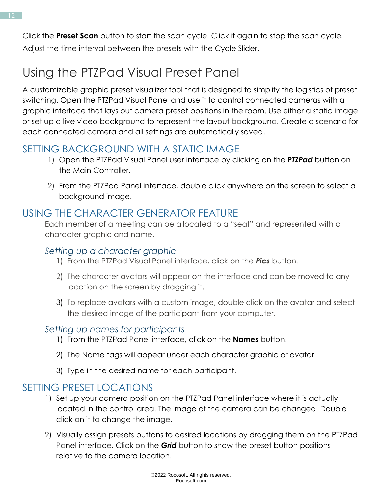Click the **Preset Scan** button to start the scan cycle. Click it again to stop the scan cycle. Adjust the time interval between the presets with the Cycle Slider.

## <span id="page-12-0"></span>Using the PTZPad Visual Preset Panel

A customizable graphic preset visualizer tool that is designed to simplify the logistics of preset switching. Open the PTZPad Visual Panel and use it to control connected cameras with a graphic interface that lays out camera preset positions in the room. Use either a static image or set up a live video background to represent the layout background. Create a scenario for each connected camera and all settings are automatically saved.

### <span id="page-12-1"></span>SETTING BACKGROUND WITH A STATIC IMAGE

- 1) Open the PTZPad Visual Panel user interface by clicking on the *PTZPad* button on the Main Controller.
- 2) From the PTZPad Panel interface, double click anywhere on the screen to select a background image.

### <span id="page-12-2"></span>USING THE CHARACTER GENERATOR FEATURE

Each member of a meeting can be allocated to a "seat" and represented with a character graphic and name.

### <span id="page-12-3"></span>*Setting up a character graphic*

- 1) From the PTZPad Visual Panel interface, click on the *Pics* button.
- 2) The character avatars will appear on the interface and can be moved to any location on the screen by dragging it.
- 3) To replace avatars with a custom image, double click on the avatar and select the desired image of the participant from your computer.

#### <span id="page-12-4"></span>*Setting up names for participants*

- 1) From the PTZPad Panel interface, click on the **Names** button.
- 2) The Name tags will appear under each character graphic or avatar.
- 3) Type in the desired name for each participant.

### <span id="page-12-5"></span>SETTING PRESET LOCATIONS

- 1) Set up your camera position on the PTZPad Panel interface where it is actually located in the control area. The image of the camera can be changed. Double click on it to change the image.
- 2) Visually assign presets buttons to desired locations by dragging them on the PTZPad Panel interface. Click on the *Grid* button to show the preset button positions relative to the camera location.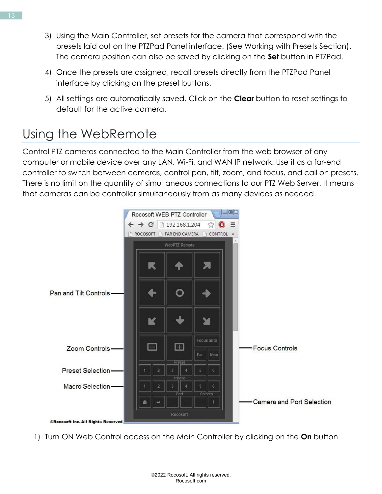- 3) Using the Main Controller, set presets for the camera that correspond with the presets laid out on the PTZPad Panel interface. (See Working with Presets Section). The camera position can also be saved by clicking on the **Set** button in PTZPad.
- 4) Once the presets are assigned, recall presets directly from the PTZPad Panel interface by clicking on the preset buttons.
- 5) All settings are automatically saved. Click on the **Clear** button to reset settings to default for the active camera.

### <span id="page-13-0"></span>Using the WebRemote

Control PTZ cameras connected to the Main Controller from the web browser of any computer or mobile device over any LAN, Wi-Fi, and WAN IP network. Use it as a far-end controller to switch between cameras, control pan, tilt, zoom, and focus, and call on presets. There is no limit on the quantity of simultaneous connections to our PTZ Web Server. It means that cameras can be controller simultaneously from as many devices as needed.



1) Turn ON Web Control access on the Main Controller by clicking on the **On** button.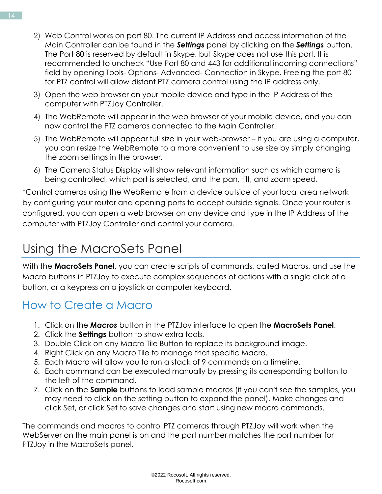- 2) Web Control works on port 80. The current IP Address and access information of the Main Controller can be found in the *Settings* panel by clicking on the *Settings* button. The Port 80 is reserved by default in Skype, but Skype does not use this port. It is recommended to uncheck "Use Port 80 and 443 for additional incoming connections" field by opening Tools- Options- Advanced- Connection in Skype. Freeing the port 80 for PTZ control will allow distant PTZ camera control using the IP address only.
- 3) Open the web browser on your mobile device and type in the IP Address of the computer with PTZJoy Controller.
- 4) The WebRemote will appear in the web browser of your mobile device, and you can now control the PTZ cameras connected to the Main Controller.
- 5) The WebRemote will appear full size in your web-browser if you are using a computer, you can resize the WebRemote to a more convenient to use size by simply changing the zoom settings in the browser.
- 6) The Camera Status Display will show relevant information such as which camera is being controlled, which port is selected, and the pan, tilt, and zoom speed.

\*Control cameras using the WebRemote from a device outside of your local area network by configuring your router and opening ports to accept outside signals. Once your router is configured, you can open a web browser on any device and type in the IP Address of the computer with PTZJoy Controller and control your camera.

### <span id="page-14-0"></span>Using the MacroSets Panel

With the **MacroSets Panel**, you can create scripts of commands, called Macros, and use the Macro buttons in PTZJoy to execute complex sequences of actions with a single click of a button, or a keypress on a joystick or computer keyboard.

### How to Create a Macro

- 1. Click on the *Macros* button in the PTZJoy interface to open the **MacroSets Panel**.
- 2. Click the **Settings** button to show extra tools.
- 3. Double Click on any Macro Tile Button to replace its background image.
- 4. Right Click on any Macro Tile to manage that specific Macro.
- 5. Each Macro will allow you to run a stack of 9 commands on a timeline.
- 6. Each command can be executed manually by pressing its corresponding button to the left of the command.
- 7. Click on the **Sample** buttons to load sample macros (if you can't see the samples, you may need to click on the setting button to expand the panel). Make changes and click Set, or click Set to save changes and start using new macro commands.

The commands and macros to control PTZ cameras through PTZJoy will work when the WebServer on the main panel is on and the port number matches the port number for PTZJoy in the MacroSets panel.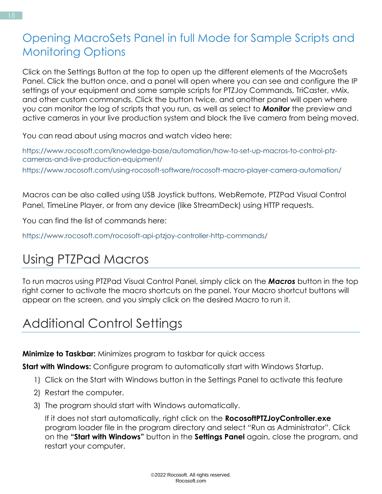### Opening MacroSets Panel in full Mode for Sample Scripts and Monitoring Options

Click on the Settings Button at the top to open up the different elements of the MacroSets Panel. Click the button once, and a panel will open where you can see and configure the IP settings of your equipment and some sample scripts for PTZJoy Commands, TriCaster, vMix, and other custom commands. Click the button twice, and another panel will open where you can monitor the log of scripts that you run, as well as select to *Monitor* the preview and active cameras in your live production system and block the live camera from being moved.

You can read about using macros and watch video here:

https://www.rocosoft.com/knowledge-base/automation/how-to-set-up-macros-to-control-ptzcameras-and-live-production-equipment/ https://www.rocosoft.com/using-rocosoft-software/rocosoft-macro-player-camera-automation/

Macros can be also called using USB Joystick buttons, WebRemote, PTZPad Visual Control Panel, TimeLine Player, or from any device (like StreamDeck) using HTTP requests.

You can find the list of commands here:

https://www.rocosoft.com/rocosoft-api-ptzjoy-controller-http-commands/

### Using PTZPad Macros

To run macros using PTZPad Visual Control Panel, simply click on the *Macros* button in the top right corner to activate the macro shortcuts on the panel. Your Macro shortcut buttons will appear on the screen, and you simply click on the desired Macro to run it.

### <span id="page-15-0"></span>Additional Control Settings

**Minimize to Taskbar:** Minimizes program to taskbar for quick access

**Start with Windows:** Configure program to automatically start with Windows Startup.

- 1) Click on the Start with Windows button in the Settings Panel to activate this feature
- 2) Restart the computer.
- 3) The program should start with Windows automatically.

If it does not start automatically, right click on the **RocosoftPTZJoyController.exe** program loader file in the program directory and select "Run as Administrator". Click on the **"Start with Windows"** button in the **Settings Panel** again, close the program, and restart your computer.